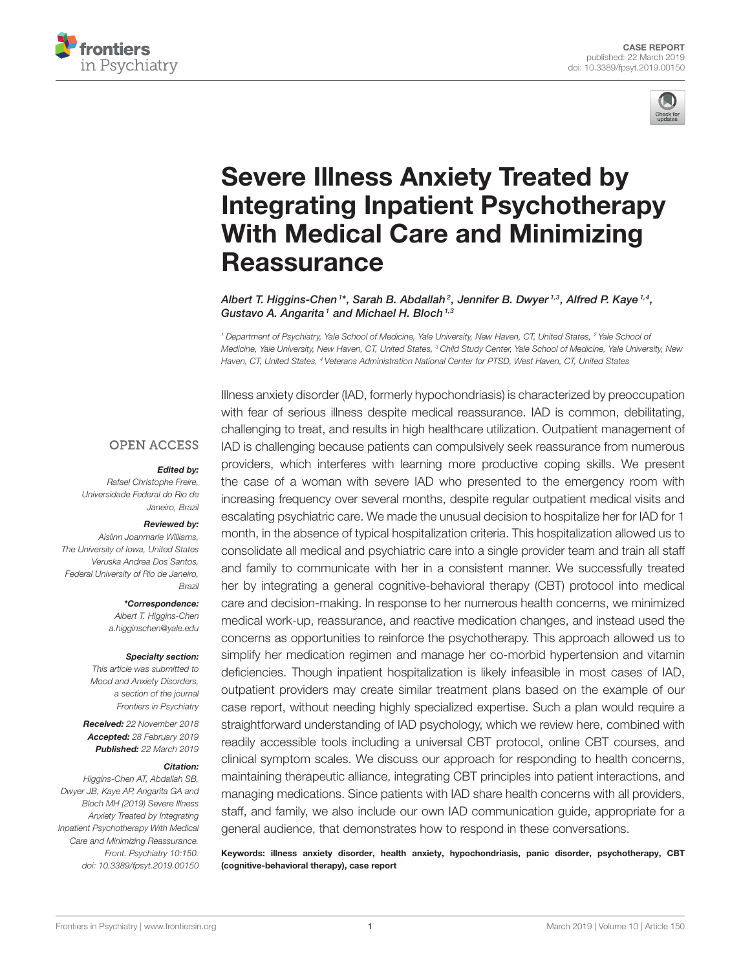



# Severe Illness Anxiety Treated by [Integrating Inpatient Psychotherapy](https://www.frontiersin.org/articles/10.3389/fpsyt.2019.00150/full) With Medical Care and Minimizing **Reassurance**

[Albert T. Higgins-Chen](http://loop.frontiersin.org/people/645672/overview)  $^{\text{1*}}$ , [Sarah B. Abdallah](http://loop.frontiersin.org/people/672483/overview)  $^2$ , [Jennifer B. Dwyer](http://loop.frontiersin.org/people/446821/overview)  $^{\text{1,3}}$ , [Alfred P. Kaye](http://loop.frontiersin.org/people/672518/overview)  $^{\text{1,4}}$ , [Gustavo A. Angarita](http://loop.frontiersin.org/people/672633/overview)<sup>1</sup> and [Michael H. Bloch](http://loop.frontiersin.org/people/34913/overview)<sup>1,3</sup>

*<sup>1</sup> Department of Psychiatry, Yale School of Medicine, Yale University, New Haven, CT, United States, <sup>2</sup> Yale School of Medicine, Yale University, New Haven, CT, United States, <sup>3</sup> Child Study Center, Yale School of Medicine, Yale University, New Haven, CT, United States, <sup>4</sup> Veterans Administration National Center for PTSD, West Haven, CT, United States*

#### **OPEN ACCESS**

#### Edited by:

*Rafael Christophe Freire, Universidade Federal do Rio de Janeiro, Brazil*

#### Reviewed by:

*Aislinn Joanmarie Williams, The University of Iowa, United States Veruska Andrea Dos Santos, Federal University of Rio de Janeiro, Brazil*

> \*Correspondence: *Albert T. Higgins-Chen*

*[a.higginschen@yale.edu](mailto:a.higginschen@yale.edu)*

#### Specialty section:

*This article was submitted to Mood and Anxiety Disorders, a section of the journal Frontiers in Psychiatry*

Received: *22 November 2018* Accepted: *28 February 2019* Published: *22 March 2019*

#### Citation:

*Higgins-Chen AT, Abdallah SB, Dwyer JB, Kaye AP, Angarita GA and Bloch MH (2019) Severe Illness Anxiety Treated by Integrating Inpatient Psychotherapy With Medical Care and Minimizing Reassurance. Front. Psychiatry 10:150. doi: [10.3389/fpsyt.2019.00150](https://doi.org/10.3389/fpsyt.2019.00150)* Illness anxiety disorder (IAD, formerly hypochondriasis) is characterized by preoccupation with fear of serious illness despite medical reassurance. IAD is common, debilitating, challenging to treat, and results in high healthcare utilization. Outpatient management of IAD is challenging because patients can compulsively seek reassurance from numerous providers, which interferes with learning more productive coping skills. We present the case of a woman with severe IAD who presented to the emergency room with increasing frequency over several months, despite regular outpatient medical visits and escalating psychiatric care. We made the unusual decision to hospitalize her for IAD for 1 month, in the absence of typical hospitalization criteria. This hospitalization allowed us to consolidate all medical and psychiatric care into a single provider team and train all staff and family to communicate with her in a consistent manner. We successfully treated her by integrating a general cognitive-behavioral therapy (CBT) protocol into medical care and decision-making. In response to her numerous health concerns, we minimized medical work-up, reassurance, and reactive medication changes, and instead used the concerns as opportunities to reinforce the psychotherapy. This approach allowed us to simplify her medication regimen and manage her co-morbid hypertension and vitamin deficiencies. Though inpatient hospitalization is likely infeasible in most cases of IAD, outpatient providers may create similar treatment plans based on the example of our case report, without needing highly specialized expertise. Such a plan would require a straightforward understanding of IAD psychology, which we review here, combined with readily accessible tools including a universal CBT protocol, online CBT courses, and clinical symptom scales. We discuss our approach for responding to health concerns, maintaining therapeutic alliance, integrating CBT principles into patient interactions, and managing medications. Since patients with IAD share health concerns with all providers, staff, and family, we also include our own IAD communication guide, appropriate for a general audience, that demonstrates how to respond in these conversations.

Keywords: illness anxiety disorder, health anxiety, hypochondriasis, panic disorder, psychotherapy, CBT (cognitive-behavioral therapy), case report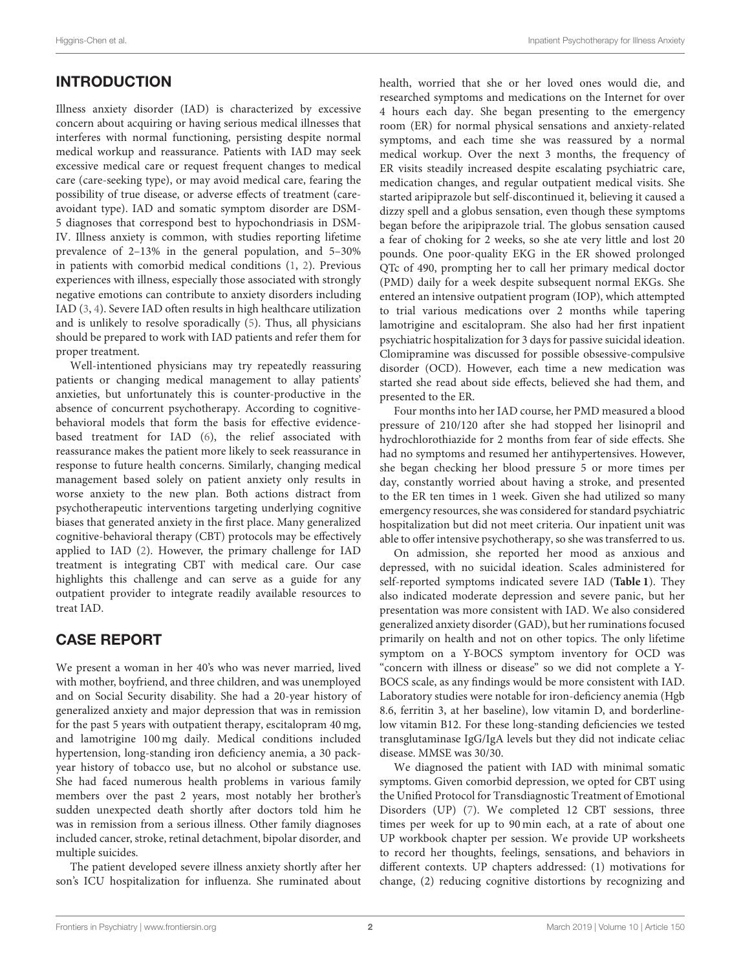## INTRODUCTION

Illness anxiety disorder (IAD) is characterized by excessive concern about acquiring or having serious medical illnesses that interferes with normal functioning, persisting despite normal medical workup and reassurance. Patients with IAD may seek excessive medical care or request frequent changes to medical care (care-seeking type), or may avoid medical care, fearing the possibility of true disease, or adverse effects of treatment (careavoidant type). IAD and somatic symptom disorder are DSM-5 diagnoses that correspond best to hypochondriasis in DSM-IV. Illness anxiety is common, with studies reporting lifetime prevalence of 2–13% in the general population, and 5–30% in patients with comorbid medical conditions [\(1,](#page-5-0) [2\)](#page-5-1). Previous experiences with illness, especially those associated with strongly negative emotions can contribute to anxiety disorders including IAD [\(3,](#page-5-2) [4\)](#page-5-3). Severe IAD often results in high healthcare utilization and is unlikely to resolve sporadically [\(5\)](#page-5-4). Thus, all physicians should be prepared to work with IAD patients and refer them for proper treatment.

Well-intentioned physicians may try repeatedly reassuring patients or changing medical management to allay patients' anxieties, but unfortunately this is counter-productive in the absence of concurrent psychotherapy. According to cognitivebehavioral models that form the basis for effective evidencebased treatment for IAD [\(6\)](#page-5-5), the relief associated with reassurance makes the patient more likely to seek reassurance in response to future health concerns. Similarly, changing medical management based solely on patient anxiety only results in worse anxiety to the new plan. Both actions distract from psychotherapeutic interventions targeting underlying cognitive biases that generated anxiety in the first place. Many generalized cognitive-behavioral therapy (CBT) protocols may be effectively applied to IAD [\(2\)](#page-5-1). However, the primary challenge for IAD treatment is integrating CBT with medical care. Our case highlights this challenge and can serve as a guide for any outpatient provider to integrate readily available resources to treat IAD.

## CASE REPORT

We present a woman in her 40's who was never married, lived with mother, boyfriend, and three children, and was unemployed and on Social Security disability. She had a 20-year history of generalized anxiety and major depression that was in remission for the past 5 years with outpatient therapy, escitalopram 40 mg, and lamotrigine 100 mg daily. Medical conditions included hypertension, long-standing iron deficiency anemia, a 30 packyear history of tobacco use, but no alcohol or substance use. She had faced numerous health problems in various family members over the past 2 years, most notably her brother's sudden unexpected death shortly after doctors told him he was in remission from a serious illness. Other family diagnoses included cancer, stroke, retinal detachment, bipolar disorder, and multiple suicides.

The patient developed severe illness anxiety shortly after her son's ICU hospitalization for influenza. She ruminated about

health, worried that she or her loved ones would die, and researched symptoms and medications on the Internet for over 4 hours each day. She began presenting to the emergency room (ER) for normal physical sensations and anxiety-related symptoms, and each time she was reassured by a normal medical workup. Over the next 3 months, the frequency of ER visits steadily increased despite escalating psychiatric care, medication changes, and regular outpatient medical visits. She started aripiprazole but self-discontinued it, believing it caused a dizzy spell and a globus sensation, even though these symptoms began before the aripiprazole trial. The globus sensation caused a fear of choking for 2 weeks, so she ate very little and lost 20 pounds. One poor-quality EKG in the ER showed prolonged QTc of 490, prompting her to call her primary medical doctor (PMD) daily for a week despite subsequent normal EKGs. She entered an intensive outpatient program (IOP), which attempted to trial various medications over 2 months while tapering lamotrigine and escitalopram. She also had her first inpatient psychiatric hospitalization for 3 days for passive suicidal ideation. Clomipramine was discussed for possible obsessive-compulsive disorder (OCD). However, each time a new medication was started she read about side effects, believed she had them, and presented to the ER.

Four months into her IAD course, her PMD measured a blood pressure of 210/120 after she had stopped her lisinopril and hydrochlorothiazide for 2 months from fear of side effects. She had no symptoms and resumed her antihypertensives. However, she began checking her blood pressure 5 or more times per day, constantly worried about having a stroke, and presented to the ER ten times in 1 week. Given she had utilized so many emergency resources, she was considered for standard psychiatric hospitalization but did not meet criteria. Our inpatient unit was able to offer intensive psychotherapy, so she was transferred to us.

On admission, she reported her mood as anxious and depressed, with no suicidal ideation. Scales administered for self-reported symptoms indicated severe IAD (**[Table 1](#page-2-0)**). They also indicated moderate depression and severe panic, but her presentation was more consistent with IAD. We also considered generalized anxiety disorder (GAD), but her ruminations focused primarily on health and not on other topics. The only lifetime symptom on a Y-BOCS symptom inventory for OCD was "concern with illness or disease" so we did not complete a Y-BOCS scale, as any findings would be more consistent with IAD. Laboratory studies were notable for iron-deficiency anemia (Hgb 8.6, ferritin 3, at her baseline), low vitamin D, and borderlinelow vitamin B12. For these long-standing deficiencies we tested transglutaminase IgG/IgA levels but they did not indicate celiac disease. MMSE was 30/30.

We diagnosed the patient with IAD with minimal somatic symptoms. Given comorbid depression, we opted for CBT using the Unified Protocol for Transdiagnostic Treatment of Emotional Disorders (UP) [\(7\)](#page-5-6). We completed 12 CBT sessions, three times per week for up to 90 min each, at a rate of about one UP workbook chapter per session. We provide UP worksheets to record her thoughts, feelings, sensations, and behaviors in different contexts. UP chapters addressed: (1) motivations for change, (2) reducing cognitive distortions by recognizing and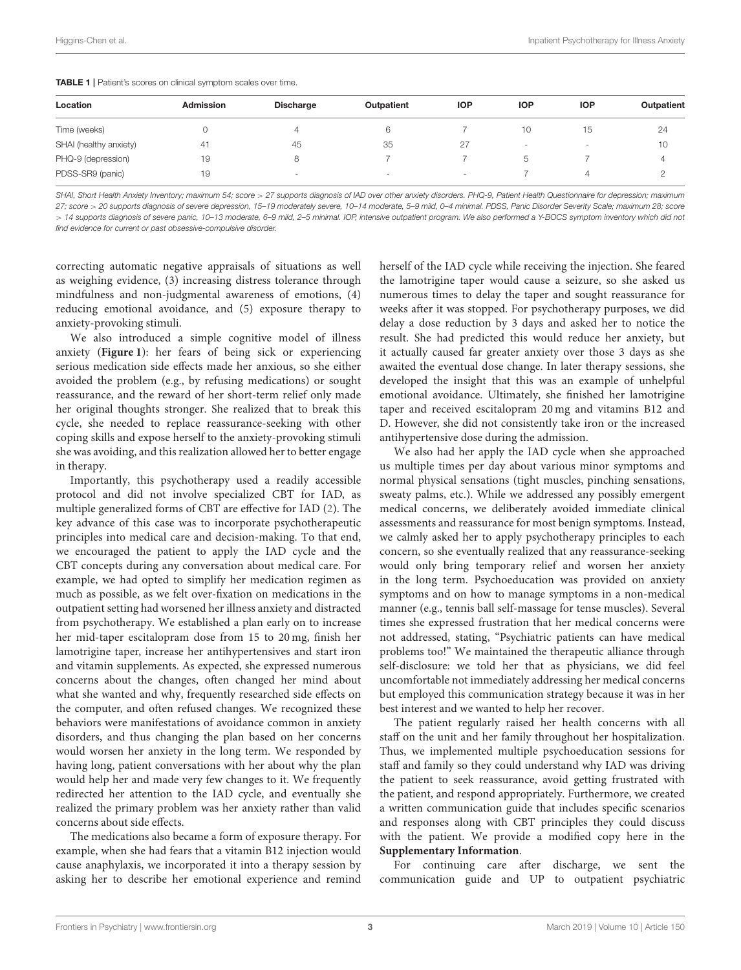<span id="page-2-0"></span>

| <b>Admission</b> | <b>Discharge</b> | Outpatient | <b>IOP</b>               | <b>IOP</b>               | <b>IOP</b> | Outpatient |
|------------------|------------------|------------|--------------------------|--------------------------|------------|------------|
|                  |                  | 6          |                          | 10                       | 15         | 24         |
| 41               | 45               | 35         | 27                       | $\overline{\phantom{a}}$ | -          | 10         |
| 19               | 8                |            |                          | 5.                       |            | 4          |
| 19               | $\sim$           | $\sim$     | $\overline{\phantom{a}}$ |                          |            |            |
|                  |                  |            |                          |                          |            |            |

*SHAI, Short Health Anxiety Inventory; maximum 54; score* > *27 supports diagnosis of IAD over other anxiety disorders. PHQ-9, Patient Health Questionnaire for depression; maximum 27; score* > *20 supports diagnosis of severe depression, 15–19 moderately severe, 10–14 moderate, 5–9 mild, 0–4 minimal. PDSS, Panic Disorder Severity Scale; maximum 28; score* > *14 supports diagnosis of severe panic, 10–13 moderate, 6–9 mild, 2–5 minimal. IOP, intensive outpatient program. We also performed a Y-BOCS symptom inventory which did not find evidence for current or past obsessive-compulsive disorder.*

correcting automatic negative appraisals of situations as well as weighing evidence, (3) increasing distress tolerance through mindfulness and non-judgmental awareness of emotions, (4) reducing emotional avoidance, and (5) exposure therapy to anxiety-provoking stimuli.

We also introduced a simple cognitive model of illness anxiety (**[Figure 1](#page-3-0)**): her fears of being sick or experiencing serious medication side effects made her anxious, so she either avoided the problem (e.g., by refusing medications) or sought reassurance, and the reward of her short-term relief only made her original thoughts stronger. She realized that to break this cycle, she needed to replace reassurance-seeking with other coping skills and expose herself to the anxiety-provoking stimuli she was avoiding, and this realization allowed her to better engage in therapy.

Importantly, this psychotherapy used a readily accessible protocol and did not involve specialized CBT for IAD, as multiple generalized forms of CBT are effective for IAD [\(2\)](#page-5-1). The key advance of this case was to incorporate psychotherapeutic principles into medical care and decision-making. To that end, we encouraged the patient to apply the IAD cycle and the CBT concepts during any conversation about medical care. For example, we had opted to simplify her medication regimen as much as possible, as we felt over-fixation on medications in the outpatient setting had worsened her illness anxiety and distracted from psychotherapy. We established a plan early on to increase her mid-taper escitalopram dose from 15 to 20 mg, finish her lamotrigine taper, increase her antihypertensives and start iron and vitamin supplements. As expected, she expressed numerous concerns about the changes, often changed her mind about what she wanted and why, frequently researched side effects on the computer, and often refused changes. We recognized these behaviors were manifestations of avoidance common in anxiety disorders, and thus changing the plan based on her concerns would worsen her anxiety in the long term. We responded by having long, patient conversations with her about why the plan would help her and made very few changes to it. We frequently redirected her attention to the IAD cycle, and eventually she realized the primary problem was her anxiety rather than valid concerns about side effects.

The medications also became a form of exposure therapy. For example, when she had fears that a vitamin B12 injection would cause anaphylaxis, we incorporated it into a therapy session by asking her to describe her emotional experience and remind herself of the IAD cycle while receiving the injection. She feared the lamotrigine taper would cause a seizure, so she asked us numerous times to delay the taper and sought reassurance for weeks after it was stopped. For psychotherapy purposes, we did delay a dose reduction by 3 days and asked her to notice the result. She had predicted this would reduce her anxiety, but it actually caused far greater anxiety over those 3 days as she awaited the eventual dose change. In later therapy sessions, she developed the insight that this was an example of unhelpful emotional avoidance. Ultimately, she finished her lamotrigine taper and received escitalopram 20 mg and vitamins B12 and D. However, she did not consistently take iron or the increased antihypertensive dose during the admission.

We also had her apply the IAD cycle when she approached us multiple times per day about various minor symptoms and normal physical sensations (tight muscles, pinching sensations, sweaty palms, etc.). While we addressed any possibly emergent medical concerns, we deliberately avoided immediate clinical assessments and reassurance for most benign symptoms. Instead, we calmly asked her to apply psychotherapy principles to each concern, so she eventually realized that any reassurance-seeking would only bring temporary relief and worsen her anxiety in the long term. Psychoeducation was provided on anxiety symptoms and on how to manage symptoms in a non-medical manner (e.g., tennis ball self-massage for tense muscles). Several times she expressed frustration that her medical concerns were not addressed, stating, "Psychiatric patients can have medical problems too!" We maintained the therapeutic alliance through self-disclosure: we told her that as physicians, we did feel uncomfortable not immediately addressing her medical concerns but employed this communication strategy because it was in her best interest and we wanted to help her recover.

The patient regularly raised her health concerns with all staff on the unit and her family throughout her hospitalization. Thus, we implemented multiple psychoeducation sessions for staff and family so they could understand why IAD was driving the patient to seek reassurance, avoid getting frustrated with the patient, and respond appropriately. Furthermore, we created a written communication guide that includes specific scenarios and responses along with CBT principles they could discuss with the patient. We provide a modified copy here in the **[Supplementary Information](#page-4-0)**.

For continuing care after discharge, we sent the communication guide and UP to outpatient psychiatric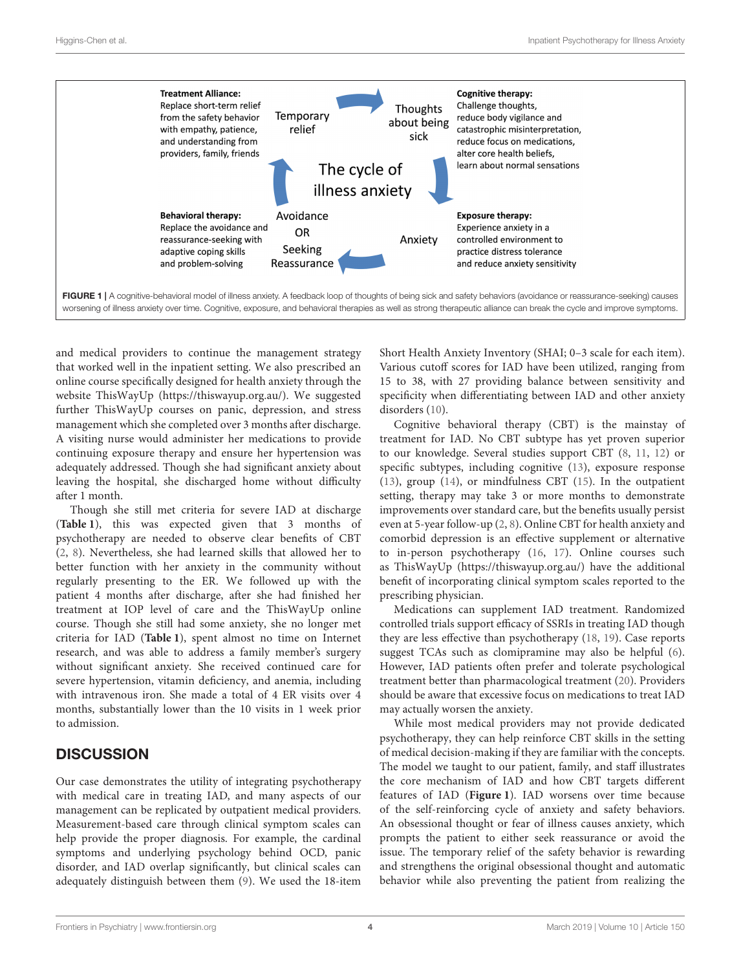

<span id="page-3-0"></span>and medical providers to continue the management strategy that worked well in the inpatient setting. We also prescribed an online course specifically designed for health anxiety through the website ThisWayUp [\(https://thiswayup.org.au/\)](https://thiswayup.org.au/). We suggested further ThisWayUp courses on panic, depression, and stress management which she completed over 3 months after discharge. A visiting nurse would administer her medications to provide continuing exposure therapy and ensure her hypertension was adequately addressed. Though she had significant anxiety about leaving the hospital, she discharged home without difficulty after 1 month.

Though she still met criteria for severe IAD at discharge (**[Table 1](#page-2-0)**), this was expected given that 3 months of psychotherapy are needed to observe clear benefits of CBT [\(2,](#page-5-1) [8\)](#page-5-7). Nevertheless, she had learned skills that allowed her to better function with her anxiety in the community without regularly presenting to the ER. We followed up with the patient 4 months after discharge, after she had finished her treatment at IOP level of care and the ThisWayUp online course. Though she still had some anxiety, she no longer met criteria for IAD (**[Table 1](#page-2-0)**), spent almost no time on Internet research, and was able to address a family member's surgery without significant anxiety. She received continued care for severe hypertension, vitamin deficiency, and anemia, including with intravenous iron. She made a total of 4 ER visits over 4 months, substantially lower than the 10 visits in 1 week prior to admission.

### **DISCUSSION**

Our case demonstrates the utility of integrating psychotherapy with medical care in treating IAD, and many aspects of our management can be replicated by outpatient medical providers. Measurement-based care through clinical symptom scales can help provide the proper diagnosis. For example, the cardinal symptoms and underlying psychology behind OCD, panic disorder, and IAD overlap significantly, but clinical scales can adequately distinguish between them [\(9\)](#page-5-8). We used the 18-item Short Health Anxiety Inventory (SHAI; 0–3 scale for each item). Various cutoff scores for IAD have been utilized, ranging from 15 to 38, with 27 providing balance between sensitivity and specificity when differentiating between IAD and other anxiety disorders [\(10\)](#page-5-9).

Cognitive behavioral therapy (CBT) is the mainstay of treatment for IAD. No CBT subtype has yet proven superior to our knowledge. Several studies support CBT [\(8,](#page-5-7) [11,](#page-5-10) [12\)](#page-5-11) or specific subtypes, including cognitive [\(13\)](#page-5-12), exposure response [\(13\)](#page-5-12), group [\(14\)](#page-5-13), or mindfulness CBT [\(15\)](#page-5-14). In the outpatient setting, therapy may take 3 or more months to demonstrate improvements over standard care, but the benefits usually persist even at 5-year follow-up [\(2,](#page-5-1) [8\)](#page-5-7). Online CBT for health anxiety and comorbid depression is an effective supplement or alternative to in-person psychotherapy [\(16,](#page-5-15) [17\)](#page-5-16). Online courses such as ThisWayUp [\(https://thiswayup.org.au/\)](https://thiswayup.org.au/) have the additional benefit of incorporating clinical symptom scales reported to the prescribing physician.

Medications can supplement IAD treatment. Randomized controlled trials support efficacy of SSRIs in treating IAD though they are less effective than psychotherapy [\(18,](#page-5-17) [19\)](#page-5-18). Case reports suggest TCAs such as clomipramine may also be helpful [\(6\)](#page-5-5). However, IAD patients often prefer and tolerate psychological treatment better than pharmacological treatment [\(20\)](#page-5-19). Providers should be aware that excessive focus on medications to treat IAD may actually worsen the anxiety.

While most medical providers may not provide dedicated psychotherapy, they can help reinforce CBT skills in the setting of medical decision-making if they are familiar with the concepts. The model we taught to our patient, family, and staff illustrates the core mechanism of IAD and how CBT targets different features of IAD (**[Figure 1](#page-3-0)**). IAD worsens over time because of the self-reinforcing cycle of anxiety and safety behaviors. An obsessional thought or fear of illness causes anxiety, which prompts the patient to either seek reassurance or avoid the issue. The temporary relief of the safety behavior is rewarding and strengthens the original obsessional thought and automatic behavior while also preventing the patient from realizing the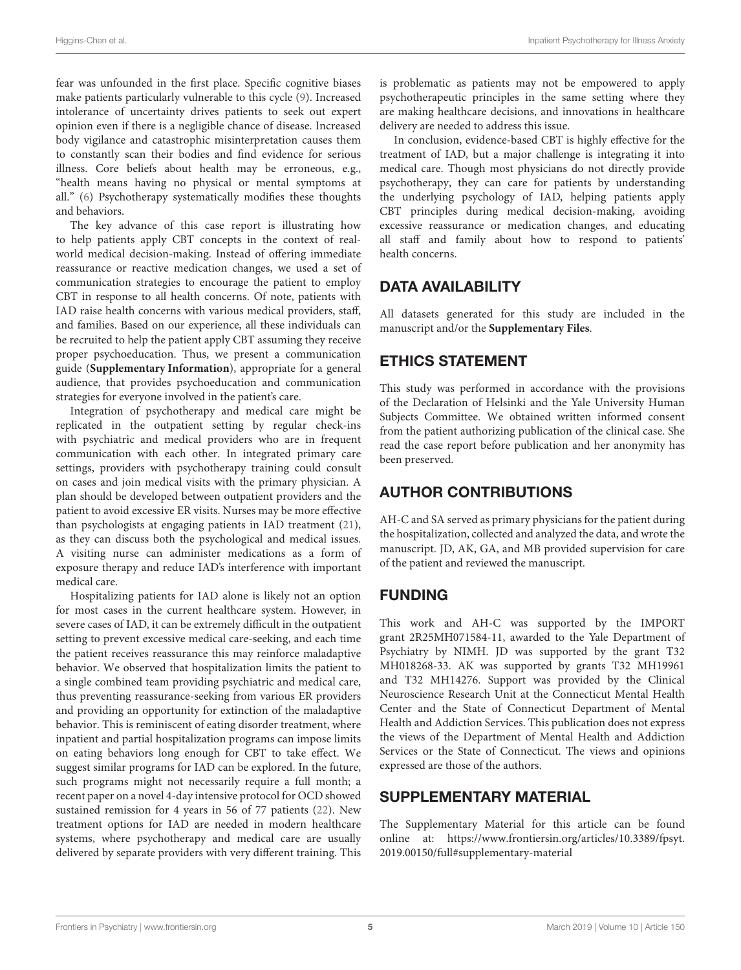fear was unfounded in the first place. Specific cognitive biases make patients particularly vulnerable to this cycle [\(9\)](#page-5-8). Increased intolerance of uncertainty drives patients to seek out expert opinion even if there is a negligible chance of disease. Increased body vigilance and catastrophic misinterpretation causes them to constantly scan their bodies and find evidence for serious illness. Core beliefs about health may be erroneous, e.g., "health means having no physical or mental symptoms at all." [\(6\)](#page-5-5) Psychotherapy systematically modifies these thoughts and behaviors.

The key advance of this case report is illustrating how to help patients apply CBT concepts in the context of realworld medical decision-making. Instead of offering immediate reassurance or reactive medication changes, we used a set of communication strategies to encourage the patient to employ CBT in response to all health concerns. Of note, patients with IAD raise health concerns with various medical providers, staff, and families. Based on our experience, all these individuals can be recruited to help the patient apply CBT assuming they receive proper psychoeducation. Thus, we present a communication guide (**[Supplementary Information](#page-4-0)**), appropriate for a general audience, that provides psychoeducation and communication strategies for everyone involved in the patient's care.

Integration of psychotherapy and medical care might be replicated in the outpatient setting by regular check-ins with psychiatric and medical providers who are in frequent communication with each other. In integrated primary care settings, providers with psychotherapy training could consult on cases and join medical visits with the primary physician. A plan should be developed between outpatient providers and the patient to avoid excessive ER visits. Nurses may be more effective than psychologists at engaging patients in IAD treatment [\(21\)](#page-5-20), as they can discuss both the psychological and medical issues. A visiting nurse can administer medications as a form of exposure therapy and reduce IAD's interference with important medical care.

Hospitalizing patients for IAD alone is likely not an option for most cases in the current healthcare system. However, in severe cases of IAD, it can be extremely difficult in the outpatient setting to prevent excessive medical care-seeking, and each time the patient receives reassurance this may reinforce maladaptive behavior. We observed that hospitalization limits the patient to a single combined team providing psychiatric and medical care, thus preventing reassurance-seeking from various ER providers and providing an opportunity for extinction of the maladaptive behavior. This is reminiscent of eating disorder treatment, where inpatient and partial hospitalization programs can impose limits on eating behaviors long enough for CBT to take effect. We suggest similar programs for IAD can be explored. In the future, such programs might not necessarily require a full month; a recent paper on a novel 4-day intensive protocol for OCD showed sustained remission for 4 years in 56 of 77 patients [\(22\)](#page-5-21). New treatment options for IAD are needed in modern healthcare systems, where psychotherapy and medical care are usually delivered by separate providers with very different training. This is problematic as patients may not be empowered to apply psychotherapeutic principles in the same setting where they are making healthcare decisions, and innovations in healthcare delivery are needed to address this issue.

In conclusion, evidence-based CBT is highly effective for the treatment of IAD, but a major challenge is integrating it into medical care. Though most physicians do not directly provide psychotherapy, they can care for patients by understanding the underlying psychology of IAD, helping patients apply CBT principles during medical decision-making, avoiding excessive reassurance or medication changes, and educating all staff and family about how to respond to patients' health concerns.

#### DATA AVAILABILITY

All datasets generated for this study are included in the manuscript and/or the **[Supplementary Files](#page-4-0)**.

### ETHICS STATEMENT

This study was performed in accordance with the provisions of the Declaration of Helsinki and the Yale University Human Subjects Committee. We obtained written informed consent from the patient authorizing publication of the clinical case. She read the case report before publication and her anonymity has been preserved.

### AUTHOR CONTRIBUTIONS

AH-C and SA served as primary physicians for the patient during the hospitalization, collected and analyzed the data, and wrote the manuscript. JD, AK, GA, and MB provided supervision for care of the patient and reviewed the manuscript.

### FUNDING

This work and AH-C was supported by the IMPORT grant 2R25MH071584-11, awarded to the Yale Department of Psychiatry by NIMH. JD was supported by the grant T32 MH018268-33. AK was supported by grants T32 MH19961 and T32 MH14276. Support was provided by the Clinical Neuroscience Research Unit at the Connecticut Mental Health Center and the State of Connecticut Department of Mental Health and Addiction Services. This publication does not express the views of the Department of Mental Health and Addiction Services or the State of Connecticut. The views and opinions expressed are those of the authors.

### SUPPLEMENTARY MATERIAL

<span id="page-4-0"></span>The Supplementary Material for this article can be found [online at: https://www.frontiersin.org/articles/10.3389/fpsyt.](https://www.frontiersin.org/articles/10.3389/fpsyt.2019.00150/full#supplementary-material) 2019.00150/full#supplementary-material